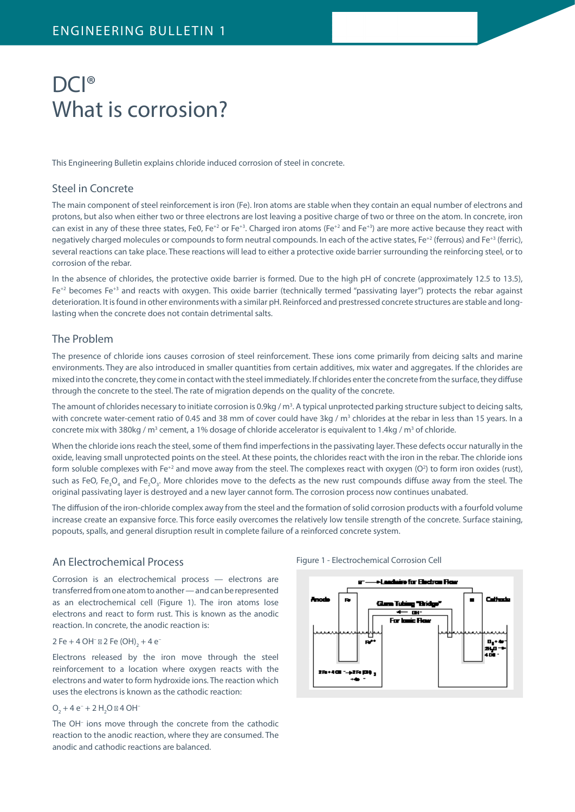# DCI<sup>®</sup> What is corrosion?

This Engineering Bulletin explains chloride induced corrosion of steel in concrete.

# Steel in Concrete

The main component of steel reinforcement is iron (Fe). Iron atoms are stable when they contain an equal number of electrons and protons, but also when either two or three electrons are lost leaving a positive charge of two or three on the atom. In concrete, iron can exist in any of these three states, Fe0, Fe<sup>+2</sup> or Fe<sup>+3</sup>. Charged iron atoms (Fe<sup>+2</sup> and Fe<sup>+3</sup>) are more active because they react with negatively charged molecules or compounds to form neutral compounds. In each of the active states, Fe<sup>+2</sup> (ferrous) and Fe<sup>+3</sup> (ferric), several reactions can take place. These reactions will lead to either a protective oxide barrier surrounding the reinforcing steel, or to corrosion of the rebar.

In the absence of chlorides, the protective oxide barrier is formed. Due to the high pH of concrete (approximately 12.5 to 13.5),  $Fe^{+2}$  becomes Fe<sup>+3</sup> and reacts with oxygen. This oxide barrier (technically termed "passivating layer") protects the rebar against deterioration. It is found in other environments with a similar pH. Reinforced and prestressed concrete structures are stable and longlasting when the concrete does not contain detrimental salts.

# The Problem

The presence of chloride ions causes corrosion of steel reinforcement. These ions come primarily from deicing salts and marine environments. They are also introduced in smaller quantities from certain additives, mix water and aggregates. If the chlorides are mixed into the concrete, they come in contact with the steel immediately. If chlorides enter the concrete from the surface, they diffuse through the concrete to the steel. The rate of migration depends on the quality of the concrete.

The amount of chlorides necessary to initiate corrosion is 0.9kg / m<sup>3</sup>. A typical unprotected parking structure subject to deicing salts, with concrete water-cement ratio of 0.45 and 38 mm of cover could have 3kg /  $m<sup>3</sup>$  chlorides at the rebar in less than 15 years. In a concrete mix with 380kg / m<sup>3</sup> cement, a 1% dosage of chloride accelerator is equivalent to 1.4kg / m<sup>3</sup> of chloride.

When the chloride ions reach the steel, some of them find imperfections in the passivating layer. These defects occur naturally in the oxide, leaving small unprotected points on the steel. At these points, the chlorides react with the iron in the rebar. The chloride ions form soluble complexes with Fe<sup>+2</sup> and move away from the steel. The complexes react with oxygen (O<sup>2</sup>) to form iron oxides (rust), such as FeO, Fe<sub>3</sub>O<sub>4</sub> and Fe<sub>2</sub>O<sub>3</sub>. More chlorides move to the defects as the new rust compounds diffuse away from the steel. The original passivating layer is destroyed and a new layer cannot form. The corrosion process now continues unabated.

The diffusion of the iron-chloride complex away from the steel and the formation of solid corrosion products with a fourfold volume increase create an expansive force. This force easily overcomes the relatively low tensile strength of the concrete. Surface staining, popouts, spalls, and general disruption result in complete failure of a reinforced concrete system.

### An Electrochemical Process

Corrosion is an electrochemical process — electrons are transferred from one atom to another — and can be represented as an electrochemical cell (Figure 1). The iron atoms lose electrons and react to form rust. This is known as the anodic reaction. In concrete, the anodic reaction is:

#### 2 Fe + 4 OH<sup>-</sup> 2 Fe (OH)<sub>2</sub> + 4 e<sup>-</sup>

Electrons released by the iron move through the steel reinforcement to a location where oxygen reacts with the electrons and water to form hydroxide ions. The reaction which uses the electrons is known as the cathodic reaction:

#### $O_2 + 4e^- + 2H_2O$  4 OH

The OH– ions move through the concrete from the cathodic reaction to the anodic reaction, where they are consumed. The anodic and cathodic reactions are balanced.